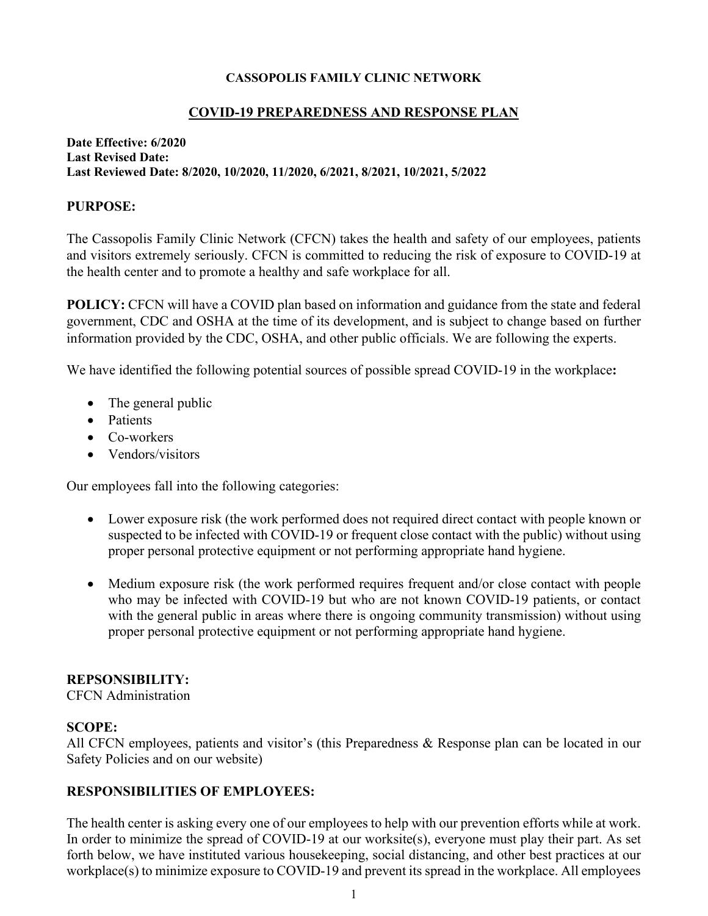### **CASSOPOLIS FAMILY CLINIC NETWORK**

## **COVID-19 PREPAREDNESS AND RESPONSE PLAN**

#### **Date Effective: 6/2020 Last Revised Date: Last Reviewed Date: 8/2020, 10/2020, 11/2020, 6/2021, 8/2021, 10/2021, 5/2022**

### **PURPOSE:**

The Cassopolis Family Clinic Network (CFCN) takes the health and safety of our employees, patients and visitors extremely seriously. CFCN is committed to reducing the risk of exposure to COVID-19 at the health center and to promote a healthy and safe workplace for all.

**POLICY:** CFCN will have a COVID plan based on information and guidance from the state and federal government, CDC and OSHA at the time of its development, and is subject to change based on further information provided by the CDC, OSHA, and other public officials. We are following the experts.

We have identified the following potential sources of possible spread COVID-19 in the workplace**:** 

- The general public
- Patients
- Co-workers
- Vendors/visitors

Our employees fall into the following categories:

- Lower exposure risk (the work performed does not required direct contact with people known or suspected to be infected with COVID-19 or frequent close contact with the public) without using proper personal protective equipment or not performing appropriate hand hygiene.
- Medium exposure risk (the work performed requires frequent and/or close contact with people who may be infected with COVID-19 but who are not known COVID-19 patients, or contact with the general public in areas where there is ongoing community transmission) without using proper personal protective equipment or not performing appropriate hand hygiene.

#### **REPSONSIBILITY:**

CFCN Administration

## **SCOPE:**

All CFCN employees, patients and visitor's (this Preparedness & Response plan can be located in our Safety Policies and on our website)

## **RESPONSIBILITIES OF EMPLOYEES:**

The health center is asking every one of our employees to help with our prevention efforts while at work. In order to minimize the spread of COVID-19 at our worksite(s), everyone must play their part. As set forth below, we have instituted various housekeeping, social distancing, and other best practices at our workplace(s) to minimize exposure to COVID-19 and prevent its spread in the workplace. All employees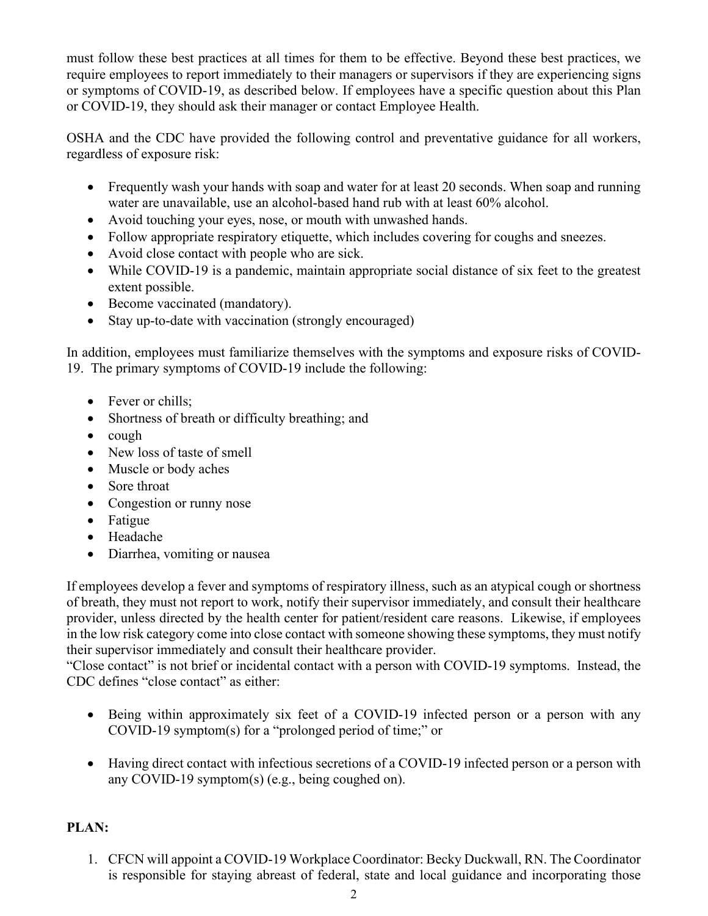must follow these best practices at all times for them to be effective. Beyond these best practices, we require employees to report immediately to their managers or supervisors if they are experiencing signs or symptoms of COVID-19, as described below. If employees have a specific question about this Plan or COVID-19, they should ask their manager or contact Employee Health.

OSHA and the CDC have provided the following control and preventative guidance for all workers, regardless of exposure risk:

- Frequently wash your hands with soap and water for at least 20 seconds. When soap and running water are unavailable, use an alcohol-based hand rub with at least 60% alcohol.
- Avoid touching your eyes, nose, or mouth with unwashed hands.
- Follow appropriate respiratory etiquette, which includes covering for coughs and sneezes.
- Avoid close contact with people who are sick.
- While COVID-19 is a pandemic, maintain appropriate social distance of six feet to the greatest extent possible.
- Become vaccinated (mandatory).
- Stay up-to-date with vaccination (strongly encouraged)

In addition, employees must familiarize themselves with the symptoms and exposure risks of COVID-19. The primary symptoms of COVID-19 include the following:

- Fever or chills;
- Shortness of breath or difficulty breathing; and
- cough
- New loss of taste of smell
- Muscle or body aches
- Sore throat
- Congestion or runny nose
- Fatigue
- Headache
- Diarrhea, vomiting or nausea

If employees develop a fever and symptoms of respiratory illness, such as an atypical cough or shortness of breath, they must not report to work, notify their supervisor immediately, and consult their healthcare provider, unless directed by the health center for patient/resident care reasons. Likewise, if employees in the low risk category come into close contact with someone showing these symptoms, they must notify their supervisor immediately and consult their healthcare provider.

"Close contact" is not brief or incidental contact with a person with COVID-19 symptoms. Instead, the CDC defines "close contact" as either:

- Being within approximately six feet of a COVID-19 infected person or a person with any COVID-19 symptom(s) for a "prolonged period of time;" or
- Having direct contact with infectious secretions of a COVID-19 infected person or a person with any COVID-19 symptom(s) (e.g., being coughed on).

# **PLAN:**

1. CFCN will appoint a COVID-19 Workplace Coordinator: Becky Duckwall, RN. The Coordinator is responsible for staying abreast of federal, state and local guidance and incorporating those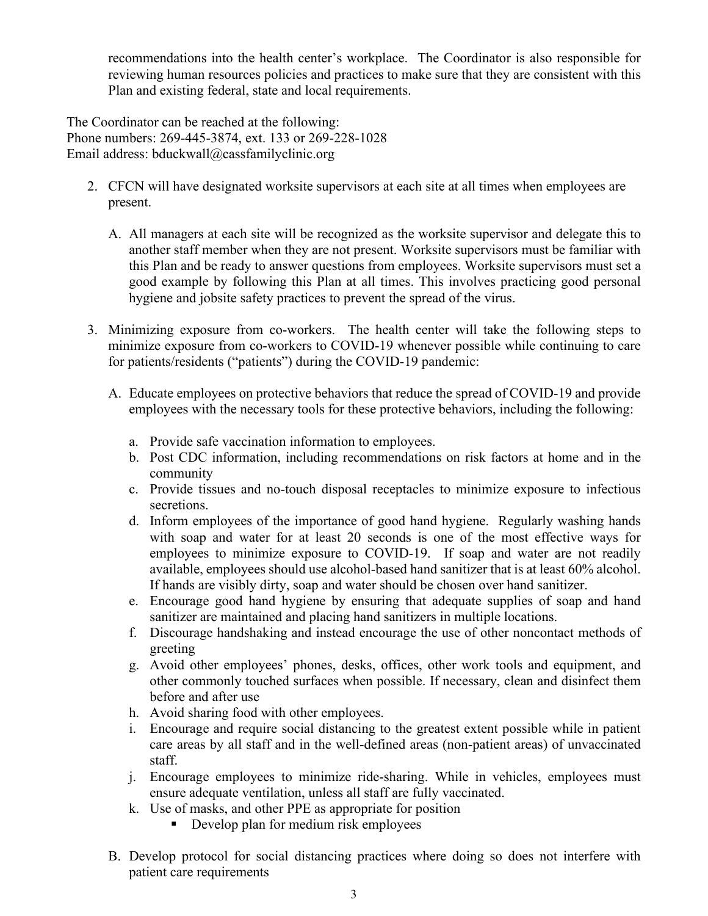recommendations into the health center's workplace. The Coordinator is also responsible for reviewing human resources policies and practices to make sure that they are consistent with this Plan and existing federal, state and local requirements.

The Coordinator can be reached at the following: Phone numbers: 269-445-3874, ext. 133 or 269-228-1028 Email address: bduckwall@cassfamilyclinic.org

- 2. CFCN will have designated worksite supervisors at each site at all times when employees are present.
	- A. All managers at each site will be recognized as the worksite supervisor and delegate this to another staff member when they are not present. Worksite supervisors must be familiar with this Plan and be ready to answer questions from employees. Worksite supervisors must set a good example by following this Plan at all times. This involves practicing good personal hygiene and jobsite safety practices to prevent the spread of the virus.
- 3. Minimizing exposure from co-workers. The health center will take the following steps to minimize exposure from co-workers to COVID-19 whenever possible while continuing to care for patients/residents ("patients") during the COVID-19 pandemic:
	- A. Educate employees on protective behaviors that reduce the spread of COVID-19 and provide employees with the necessary tools for these protective behaviors, including the following:
		- a. Provide safe vaccination information to employees.
		- b. Post CDC information, including recommendations on risk factors at home and in the community
		- c. Provide tissues and no-touch disposal receptacles to minimize exposure to infectious secretions.
		- d. Inform employees of the importance of good hand hygiene. Regularly washing hands with soap and water for at least 20 seconds is one of the most effective ways for employees to minimize exposure to COVID-19. If soap and water are not readily available, employees should use alcohol-based hand sanitizer that is at least 60% alcohol. If hands are visibly dirty, soap and water should be chosen over hand sanitizer.
		- e. Encourage good hand hygiene by ensuring that adequate supplies of soap and hand sanitizer are maintained and placing hand sanitizers in multiple locations.
		- f. Discourage handshaking and instead encourage the use of other noncontact methods of greeting
		- g. Avoid other employees' phones, desks, offices, other work tools and equipment, and other commonly touched surfaces when possible. If necessary, clean and disinfect them before and after use
		- h. Avoid sharing food with other employees.
		- i. Encourage and require social distancing to the greatest extent possible while in patient care areas by all staff and in the well-defined areas (non-patient areas) of unvaccinated staff.
		- j. Encourage employees to minimize ride-sharing. While in vehicles, employees must ensure adequate ventilation, unless all staff are fully vaccinated.
		- k. Use of masks, and other PPE as appropriate for position
			- Develop plan for medium risk employees
	- B. Develop protocol for social distancing practices where doing so does not interfere with patient care requirements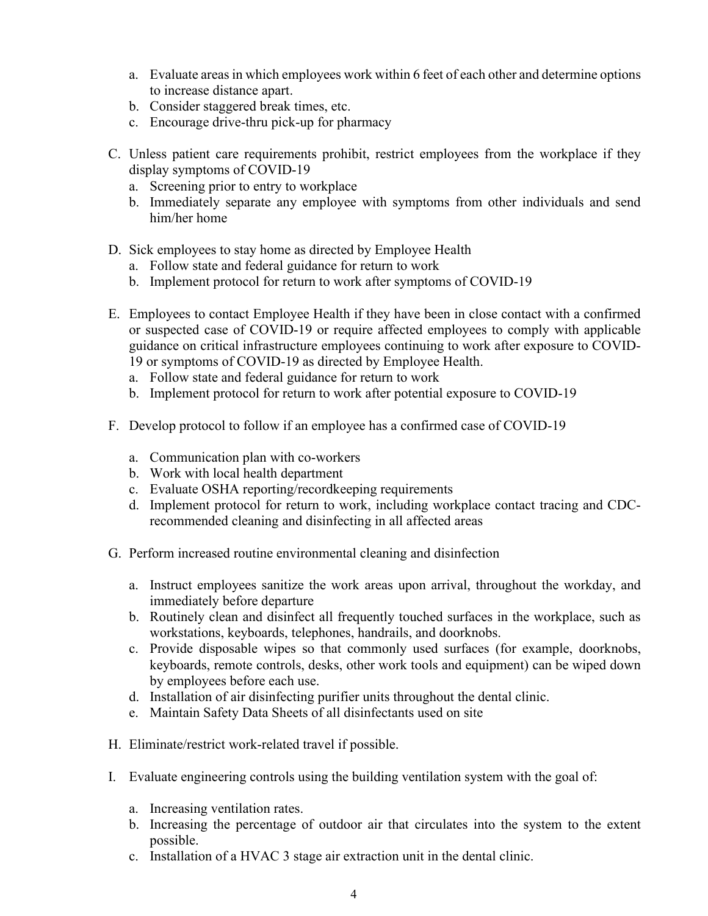- a. Evaluate areas in which employees work within 6 feet of each other and determine options to increase distance apart.
- b. Consider staggered break times, etc.
- c. Encourage drive-thru pick-up for pharmacy
- C. Unless patient care requirements prohibit, restrict employees from the workplace if they display symptoms of COVID-19
	- a. Screening prior to entry to workplace
	- b. Immediately separate any employee with symptoms from other individuals and send him/her home
- D. Sick employees to stay home as directed by Employee Health
	- a. Follow state and federal guidance for return to work
	- b. Implement protocol for return to work after symptoms of COVID-19
- E. Employees to contact Employee Health if they have been in close contact with a confirmed or suspected case of COVID-19 or require affected employees to comply with applicable guidance on critical infrastructure employees continuing to work after exposure to COVID-19 or symptoms of COVID-19 as directed by Employee Health.
	- a. Follow state and federal guidance for return to work
	- b. Implement protocol for return to work after potential exposure to COVID-19
- F. Develop protocol to follow if an employee has a confirmed case of COVID-19
	- a. Communication plan with co-workers
	- b. Work with local health department
	- c. Evaluate OSHA reporting/recordkeeping requirements
	- d. Implement protocol for return to work, including workplace contact tracing and CDCrecommended cleaning and disinfecting in all affected areas
- G. Perform increased routine environmental cleaning and disinfection
	- a. Instruct employees sanitize the work areas upon arrival, throughout the workday, and immediately before departure
	- b. Routinely clean and disinfect all frequently touched surfaces in the workplace, such as workstations, keyboards, telephones, handrails, and doorknobs.
	- c. Provide disposable wipes so that commonly used surfaces (for example, doorknobs, keyboards, remote controls, desks, other work tools and equipment) can be wiped down by employees before each use.
	- d. Installation of air disinfecting purifier units throughout the dental clinic.
	- e. Maintain Safety Data Sheets of all disinfectants used on site
- H. Eliminate/restrict work-related travel if possible.
- I. Evaluate engineering controls using the building ventilation system with the goal of:
	- a. Increasing ventilation rates.
	- b. Increasing the percentage of outdoor air that circulates into the system to the extent possible.
	- c. Installation of a HVAC 3 stage air extraction unit in the dental clinic.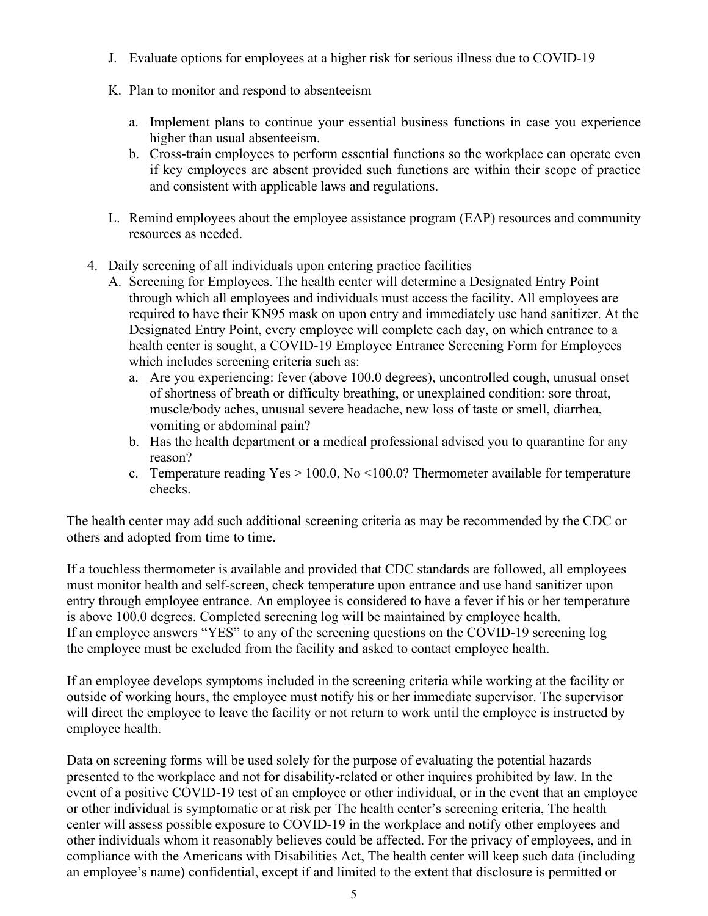- J. Evaluate options for employees at a higher risk for serious illness due to COVID-19
- K. Plan to monitor and respond to absenteeism
	- a. Implement plans to continue your essential business functions in case you experience higher than usual absenteeism.
	- b. Cross-train employees to perform essential functions so the workplace can operate even if key employees are absent provided such functions are within their scope of practice and consistent with applicable laws and regulations.
- L. Remind employees about the employee assistance program (EAP) resources and community resources as needed.
- 4. Daily screening of all individuals upon entering practice facilities
	- A. Screening for Employees. The health center will determine a Designated Entry Point through which all employees and individuals must access the facility. All employees are required to have their KN95 mask on upon entry and immediately use hand sanitizer. At the Designated Entry Point, every employee will complete each day, on which entrance to a health center is sought, a COVID-19 Employee Entrance Screening Form for Employees which includes screening criteria such as:
		- a. Are you experiencing: fever (above 100.0 degrees), uncontrolled cough, unusual onset of shortness of breath or difficulty breathing, or unexplained condition: sore throat, muscle/body aches, unusual severe headache, new loss of taste or smell, diarrhea, vomiting or abdominal pain?
		- b. Has the health department or a medical professional advised you to quarantine for any reason?
		- c. Temperature reading  $Yes > 100.0$ , No  $\leq 100.0$ ? Thermometer available for temperature checks.

The health center may add such additional screening criteria as may be recommended by the CDC or others and adopted from time to time.

If a touchless thermometer is available and provided that CDC standards are followed, all employees must monitor health and self-screen, check temperature upon entrance and use hand sanitizer upon entry through employee entrance. An employee is considered to have a fever if his or her temperature is above 100.0 degrees. Completed screening log will be maintained by employee health. If an employee answers "YES" to any of the screening questions on the COVID-19 screening log the employee must be excluded from the facility and asked to contact employee health.

If an employee develops symptoms included in the screening criteria while working at the facility or outside of working hours, the employee must notify his or her immediate supervisor. The supervisor will direct the employee to leave the facility or not return to work until the employee is instructed by employee health.

Data on screening forms will be used solely for the purpose of evaluating the potential hazards presented to the workplace and not for disability-related or other inquires prohibited by law. In the event of a positive COVID-19 test of an employee or other individual, or in the event that an employee or other individual is symptomatic or at risk per The health center's screening criteria, The health center will assess possible exposure to COVID-19 in the workplace and notify other employees and other individuals whom it reasonably believes could be affected. For the privacy of employees, and in compliance with the Americans with Disabilities Act, The health center will keep such data (including an employee's name) confidential, except if and limited to the extent that disclosure is permitted or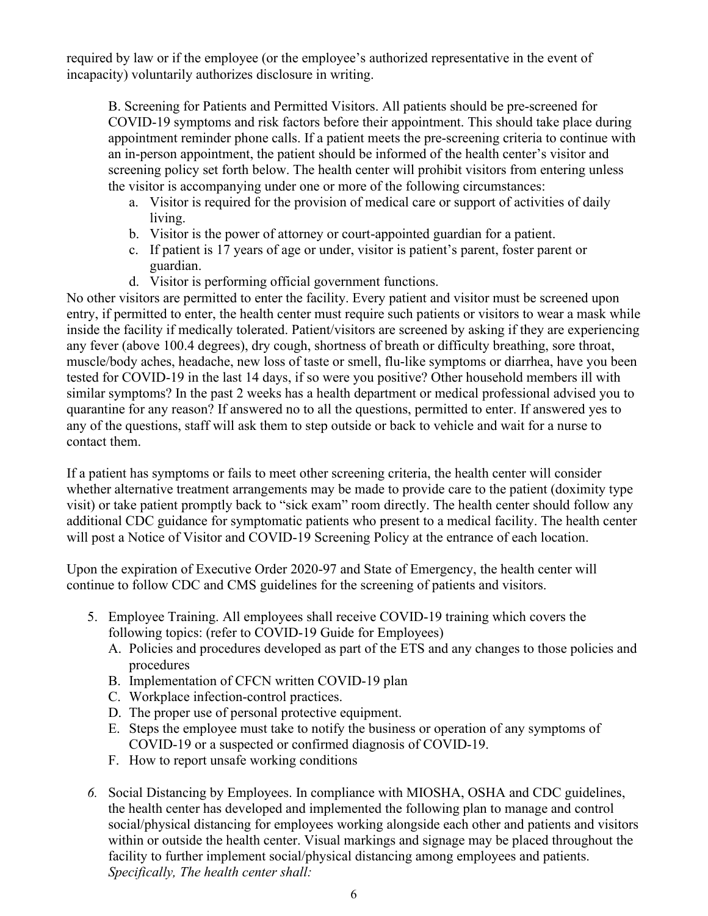required by law or if the employee (or the employee's authorized representative in the event of incapacity) voluntarily authorizes disclosure in writing.

B. Screening for Patients and Permitted Visitors. All patients should be pre-screened for COVID-19 symptoms and risk factors before their appointment. This should take place during appointment reminder phone calls. If a patient meets the pre-screening criteria to continue with an in-person appointment, the patient should be informed of the health center's visitor and screening policy set forth below. The health center will prohibit visitors from entering unless the visitor is accompanying under one or more of the following circumstances:

- a. Visitor is required for the provision of medical care or support of activities of daily living.
- b. Visitor is the power of attorney or court-appointed guardian for a patient.
- c. If patient is 17 years of age or under, visitor is patient's parent, foster parent or guardian.
- d. Visitor is performing official government functions.

No other visitors are permitted to enter the facility. Every patient and visitor must be screened upon entry, if permitted to enter, the health center must require such patients or visitors to wear a mask while inside the facility if medically tolerated. Patient/visitors are screened by asking if they are experiencing any fever (above 100.4 degrees), dry cough, shortness of breath or difficulty breathing, sore throat, muscle/body aches, headache, new loss of taste or smell, flu-like symptoms or diarrhea, have you been tested for COVID-19 in the last 14 days, if so were you positive? Other household members ill with similar symptoms? In the past 2 weeks has a health department or medical professional advised you to quarantine for any reason? If answered no to all the questions, permitted to enter. If answered yes to any of the questions, staff will ask them to step outside or back to vehicle and wait for a nurse to contact them.

If a patient has symptoms or fails to meet other screening criteria, the health center will consider whether alternative treatment arrangements may be made to provide care to the patient (doximity type visit) or take patient promptly back to "sick exam" room directly. The health center should follow any additional CDC guidance for symptomatic patients who present to a medical facility. The health center will post a Notice of Visitor and COVID-19 Screening Policy at the entrance of each location.

Upon the expiration of Executive Order 2020-97 and State of Emergency, the health center will continue to follow CDC and CMS guidelines for the screening of patients and visitors.

- 5. Employee Training. All employees shall receive COVID-19 training which covers the following topics: (refer to COVID-19 Guide for Employees)
	- A. Policies and procedures developed as part of the ETS and any changes to those policies and procedures
	- B. Implementation of CFCN written COVID-19 plan
	- C. Workplace infection-control practices.
	- D. The proper use of personal protective equipment.
	- E. Steps the employee must take to notify the business or operation of any symptoms of COVID-19 or a suspected or confirmed diagnosis of COVID-19.
	- F. How to report unsafe working conditions
- *6.* Social Distancing by Employees. In compliance with MIOSHA, OSHA and CDC guidelines, the health center has developed and implemented the following plan to manage and control social/physical distancing for employees working alongside each other and patients and visitors within or outside the health center. Visual markings and signage may be placed throughout the facility to further implement social/physical distancing among employees and patients. *Specifically, The health center shall:*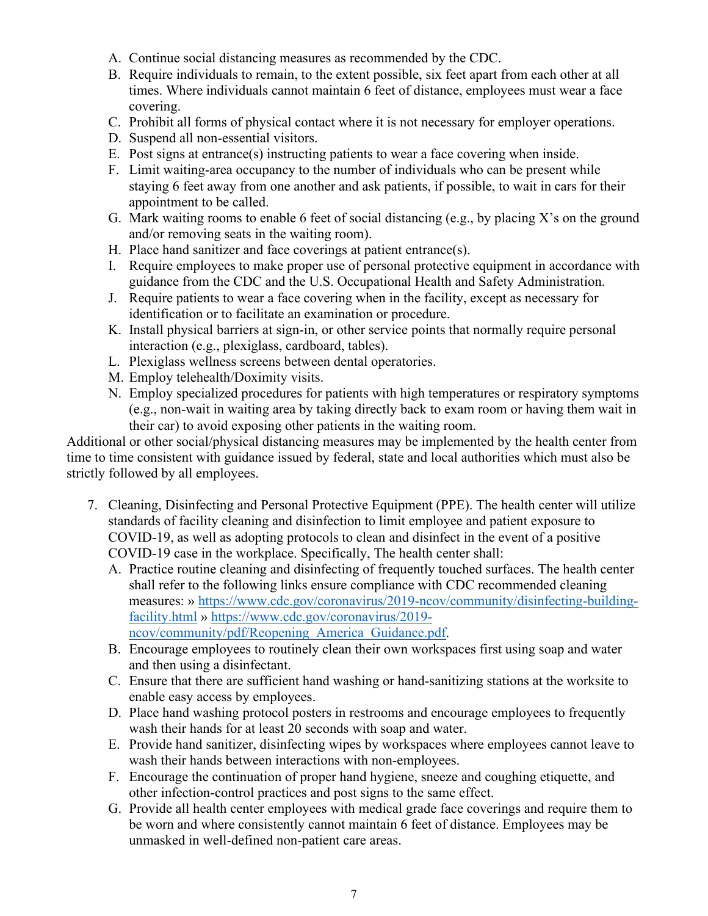- A. Continue social distancing measures as recommended by the CDC.
- B. Require individuals to remain, to the extent possible, six feet apart from each other at all times. Where individuals cannot maintain 6 feet of distance, employees must wear a face covering.
- C. Prohibit all forms of physical contact where it is not necessary for employer operations.
- D. Suspend all non-essential visitors.
- E. Post signs at entrance(s) instructing patients to wear a face covering when inside.
- F. Limit waiting-area occupancy to the number of individuals who can be present while staying 6 feet away from one another and ask patients, if possible, to wait in cars for their appointment to be called.
- G. Mark waiting rooms to enable 6 feet of social distancing (e.g., by placing X's on the ground and/or removing seats in the waiting room).
- H. Place hand sanitizer and face coverings at patient entrance(s).
- I. Require employees to make proper use of personal protective equipment in accordance with guidance from the CDC and the U.S. Occupational Health and Safety Administration.
- J. Require patients to wear a face covering when in the facility, except as necessary for identification or to facilitate an examination or procedure.
- K. Install physical barriers at sign-in, or other service points that normally require personal interaction (e.g., plexiglass, cardboard, tables).
- L. Plexiglass wellness screens between dental operatories.
- M. Employ telehealth/Doximity visits.
- N. Employ specialized procedures for patients with high temperatures or respiratory symptoms (e.g., non-wait in waiting area by taking directly back to exam room or having them wait in their car) to avoid exposing other patients in the waiting room.

Additional or other social/physical distancing measures may be implemented by the health center from time to time consistent with guidance issued by federal, state and local authorities which must also be strictly followed by all employees.

- 7. Cleaning, Disinfecting and Personal Protective Equipment (PPE). The health center will utilize standards of facility cleaning and disinfection to limit employee and patient exposure to COVID-19, as well as adopting protocols to clean and disinfect in the event of a positive COVID-19 case in the workplace. Specifically, The health center shall:
	- A. Practice routine cleaning and disinfecting of frequently touched surfaces. The health center shall refer to the following links ensure compliance with CDC recommended cleaning measures: » [https://www.cdc.gov/coronavirus/2019-ncov/community/disinfecting-building](https://www.cdc.gov/coronavirus/2019-ncov/community/disinfecting-building-facility.html)[facility.html](https://www.cdc.gov/coronavirus/2019-ncov/community/disinfecting-building-facility.html) » [https://www.cdc.gov/coronavirus/2019](https://www.cdc.gov/coronavirus/2019-ncov/community/pdf/Reopening_America_Guidance.pdf) [ncov/community/pdf/Reopening\\_America\\_Guidance.pdf.](https://www.cdc.gov/coronavirus/2019-ncov/community/pdf/Reopening_America_Guidance.pdf)
	- B. Encourage employees to routinely clean their own workspaces first using soap and water and then using a disinfectant.
	- C. Ensure that there are sufficient hand washing or hand-sanitizing stations at the worksite to enable easy access by employees.
	- D. Place hand washing protocol posters in restrooms and encourage employees to frequently wash their hands for at least 20 seconds with soap and water.
	- E. Provide hand sanitizer, disinfecting wipes by workspaces where employees cannot leave to wash their hands between interactions with non-employees.
	- F. Encourage the continuation of proper hand hygiene, sneeze and coughing etiquette, and other infection-control practices and post signs to the same effect.
	- G. Provide all health center employees with medical grade face coverings and require them to be worn and where consistently cannot maintain 6 feet of distance. Employees may be unmasked in well-defined non-patient care areas.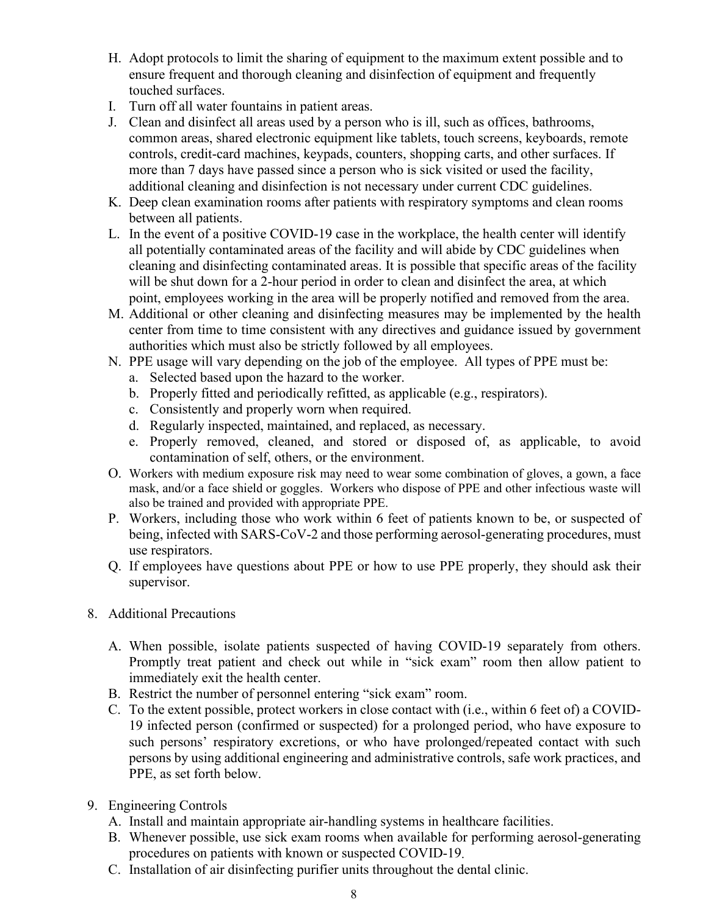- H. Adopt protocols to limit the sharing of equipment to the maximum extent possible and to ensure frequent and thorough cleaning and disinfection of equipment and frequently touched surfaces.
- I. Turn off all water fountains in patient areas.
- J. Clean and disinfect all areas used by a person who is ill, such as offices, bathrooms, common areas, shared electronic equipment like tablets, touch screens, keyboards, remote controls, credit-card machines, keypads, counters, shopping carts, and other surfaces. If more than 7 days have passed since a person who is sick visited or used the facility, additional cleaning and disinfection is not necessary under current CDC guidelines.
- K. Deep clean examination rooms after patients with respiratory symptoms and clean rooms between all patients.
- L. In the event of a positive COVID-19 case in the workplace, the health center will identify all potentially contaminated areas of the facility and will abide by CDC guidelines when cleaning and disinfecting contaminated areas. It is possible that specific areas of the facility will be shut down for a 2-hour period in order to clean and disinfect the area, at which point, employees working in the area will be properly notified and removed from the area.
- M. Additional or other cleaning and disinfecting measures may be implemented by the health center from time to time consistent with any directives and guidance issued by government authorities which must also be strictly followed by all employees.
- N. PPE usage will vary depending on the job of the employee. All types of PPE must be:
	- a. Selected based upon the hazard to the worker.
	- b. Properly fitted and periodically refitted, as applicable (e.g., respirators).
	- c. Consistently and properly worn when required.
	- d. Regularly inspected, maintained, and replaced, as necessary.
	- e. Properly removed, cleaned, and stored or disposed of, as applicable, to avoid contamination of self, others, or the environment.
- O. Workers with medium exposure risk may need to wear some combination of gloves, a gown, a face mask, and/or a face shield or goggles. Workers who dispose of PPE and other infectious waste will also be trained and provided with appropriate PPE.
- P. Workers, including those who work within 6 feet of patients known to be, or suspected of being, infected with SARS-CoV-2 and those performing aerosol-generating procedures, must use respirators.
- Q. If employees have questions about PPE or how to use PPE properly, they should ask their supervisor.
- 8. Additional Precautions
	- A. When possible, isolate patients suspected of having COVID-19 separately from others. Promptly treat patient and check out while in "sick exam" room then allow patient to immediately exit the health center.
	- B. Restrict the number of personnel entering "sick exam" room.
	- C. To the extent possible, protect workers in close contact with (i.e., within 6 feet of) a COVID-19 infected person (confirmed or suspected) for a prolonged period, who have exposure to such persons' respiratory excretions, or who have prolonged/repeated contact with such persons by using additional engineering and administrative controls, safe work practices, and PPE, as set forth below.
- 9. Engineering Controls
	- A. Install and maintain appropriate air-handling systems in healthcare facilities.
	- B. Whenever possible, use sick exam rooms when available for performing aerosol-generating procedures on patients with known or suspected COVID-19.
	- C. Installation of air disinfecting purifier units throughout the dental clinic.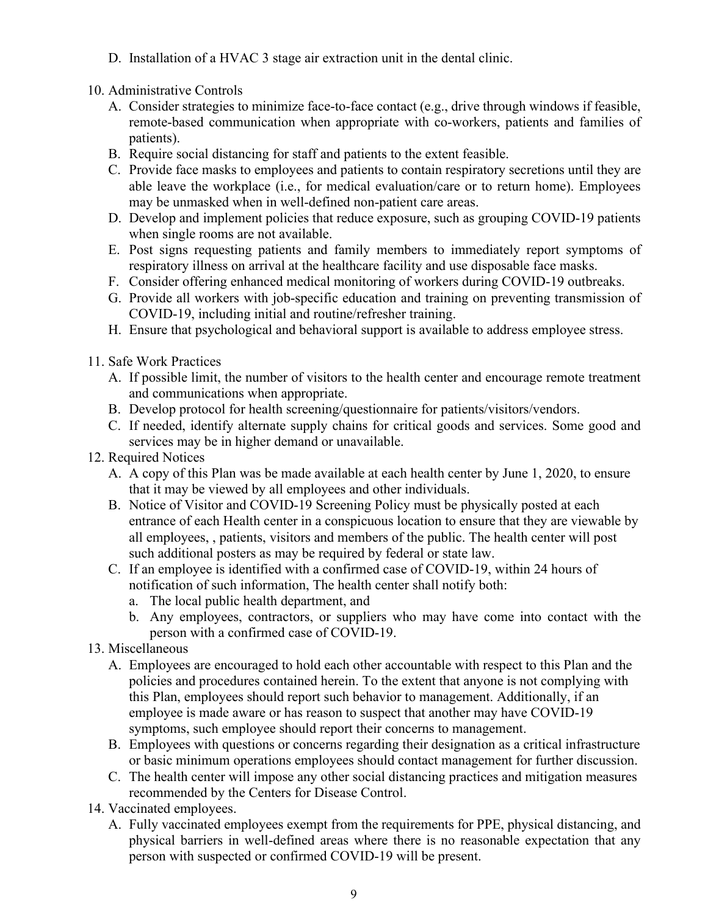D. Installation of a HVAC 3 stage air extraction unit in the dental clinic.

# 10. Administrative Controls

- A. Consider strategies to minimize face-to-face contact (e.g., drive through windows if feasible, remote-based communication when appropriate with co-workers, patients and families of patients).
- B. Require social distancing for staff and patients to the extent feasible.
- C. Provide face masks to employees and patients to contain respiratory secretions until they are able leave the workplace (i.e., for medical evaluation/care or to return home). Employees may be unmasked when in well-defined non-patient care areas.
- D. Develop and implement policies that reduce exposure, such as grouping COVID-19 patients when single rooms are not available.
- E. Post signs requesting patients and family members to immediately report symptoms of respiratory illness on arrival at the healthcare facility and use disposable face masks.
- F. Consider offering enhanced medical monitoring of workers during COVID-19 outbreaks.
- G. Provide all workers with job-specific education and training on preventing transmission of COVID-19, including initial and routine/refresher training.
- H. Ensure that psychological and behavioral support is available to address employee stress.
- 11. Safe Work Practices
	- A. If possible limit, the number of visitors to the health center and encourage remote treatment and communications when appropriate.
	- B. Develop protocol for health screening/questionnaire for patients/visitors/vendors.
	- C. If needed, identify alternate supply chains for critical goods and services. Some good and services may be in higher demand or unavailable.
- 12. Required Notices
	- A. A copy of this Plan was be made available at each health center by June 1, 2020, to ensure that it may be viewed by all employees and other individuals.
	- B. Notice of Visitor and COVID-19 Screening Policy must be physically posted at each entrance of each Health center in a conspicuous location to ensure that they are viewable by all employees, , patients, visitors and members of the public. The health center will post such additional posters as may be required by federal or state law.
	- C. If an employee is identified with a confirmed case of COVID-19, within 24 hours of notification of such information, The health center shall notify both:
		- a. The local public health department, and
		- b. Any employees, contractors, or suppliers who may have come into contact with the person with a confirmed case of COVID-19.
- 13. Miscellaneous
	- A. Employees are encouraged to hold each other accountable with respect to this Plan and the policies and procedures contained herein. To the extent that anyone is not complying with this Plan, employees should report such behavior to management. Additionally, if an employee is made aware or has reason to suspect that another may have COVID-19 symptoms, such employee should report their concerns to management.
	- B. Employees with questions or concerns regarding their designation as a critical infrastructure or basic minimum operations employees should contact management for further discussion.
	- C. The health center will impose any other social distancing practices and mitigation measures recommended by the Centers for Disease Control.
- 14. Vaccinated employees.
	- A. Fully vaccinated employees exempt from the requirements for PPE, physical distancing, and physical barriers in well-defined areas where there is no reasonable expectation that any person with suspected or confirmed COVID-19 will be present.